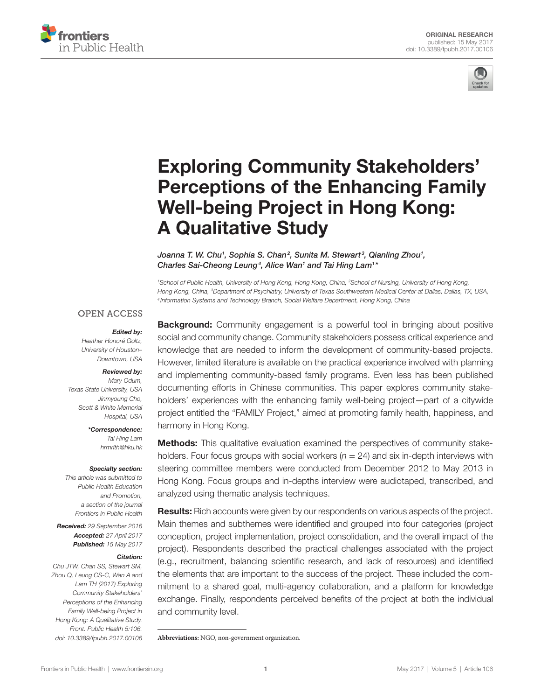



# **Exploring Community Stakeholders' Perceptions of the Enhancing Family Well-being Project in Hong Kong: A Qualitative Study**

Joanna T. W. Chu<sup>1</sup>, Sophia S. Chan<sup>2</sup>, [Sunita M. Stewart](http://loop.frontiersin.org/people/293721)<sup>3</sup>, [Qianling Zhou](http://loop.frontiersin.org/people/362882)<sup>1</sup>, *[Charles Sai-Cheong Leung](http://loop.frontiersin.org/people/405387)4 , [Alice Wan](http://loop.frontiersin.org/people/427264)1 and [Tai Hing Lam](http://loop.frontiersin.org/people/242619)1 \**

*1 School of Public Health, University of Hong Kong, Hong Kong, China, 2 School of Nursing, University of Hong Kong, Hong Kong, China, 3 Department of Psychiatry, University of Texas Southwestern Medical Center at Dallas, Dallas, TX, USA, <sup>4</sup> Information Systems and Technology Branch, Social Welfare Department, Hong Kong, China*

## **OPEN ACCESS**

#### *Edited by:*

*Heather Honoré Goltz, University of Houston– Downtown, USA*

#### *Reviewed by:*

*Mary Odum, Texas State University, USA Jinmyoung Cho, Scott & White Memorial Hospital, USA*

*\*Correspondence:*

*Tai Hing Lam [hrmrlth@hku.hk](mailto:hrmrlth@hku.hk)*

#### *Specialty section:*

*This article was submitted to Public Health Education and Promotion, a section of the journal Frontiers in Public Health*

*Received: 29 September 2016 Accepted: 27 April 2017 Published: 15 May 2017*

#### *Citation:*

*Chu JTW, Chan SS, Stewart SM, Zhou Q, Leung CS-C, Wan A and Lam TH (2017) Exploring Community Stakeholders' Perceptions of the Enhancing Family Well-being Project in Hong Kong: A Qualitative Study. Front. Public Health 5:106. doi: [10.3389/fpubh.2017.00106](https://doi.org/10.3389/fpubh.2017.00106)* **Background:** Community engagement is a powerful tool in bringing about positive social and community change. Community stakeholders possess critical experience and knowledge that are needed to inform the development of community-based projects. However, limited literature is available on the practical experience involved with planning and implementing community-based family programs. Even less has been published documenting efforts in Chinese communities. This paper explores community stakeholders' experiences with the enhancing family well-being project—part of a citywide project entitled the "FAMILY Project," aimed at promoting family health, happiness, and harmony in Hong Kong.

**Methods:** This qualitative evaluation examined the perspectives of community stakeholders. Four focus groups with social workers  $(n = 24)$  and six in-depth interviews with steering committee members were conducted from December 2012 to May 2013 in Hong Kong. Focus groups and in-depths interview were audiotaped, transcribed, and analyzed using thematic analysis techniques.

**Results:** Rich accounts were given by our respondents on various aspects of the project. Main themes and subthemes were identified and grouped into four categories (project conception, project implementation, project consolidation, and the overall impact of the project). Respondents described the practical challenges associated with the project (e.g., recruitment, balancing scientific research, and lack of resources) and identified the elements that are important to the success of the project. These included the commitment to a shared goal, multi-agency collaboration, and a platform for knowledge exchange. Finally, respondents perceived benefits of the project at both the individual and community level.

**Abbreviations:** NGO, non-government organization.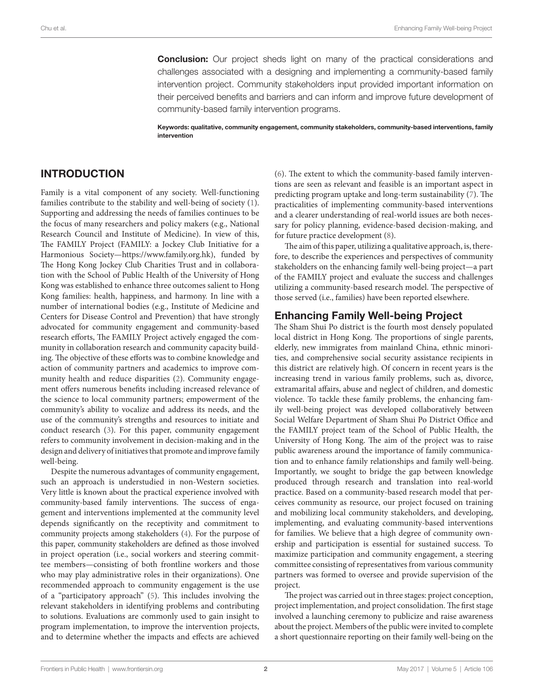**Conclusion:** Our project sheds light on many of the practical considerations and challenges associated with a designing and implementing a community-based family intervention project. Community stakeholders input provided important information on their perceived benefits and barriers and can inform and improve future development of community-based family intervention programs.

Keywords: qualitative, community engagement, community stakeholders, community-based interventions, family intervention

# INTRODUCTION

Family is a vital component of any society. Well-functioning families contribute to the stability and well-being of society [\(1\)](#page-7-0). Supporting and addressing the needs of families continues to be the focus of many researchers and policy makers (e.g., National Research Council and Institute of Medicine). In view of this, The FAMILY Project (FAMILY: a Jockey Club Initiative for a Harmonious Society[—https://www.family.org.hk\)](https://www.family.org.hk), funded by The Hong Kong Jockey Club Charities Trust and in collaboration with the School of Public Health of the University of Hong Kong was established to enhance three outcomes salient to Hong Kong families: health, happiness, and harmony. In line with a number of international bodies (e.g., Institute of Medicine and Centers for Disease Control and Prevention) that have strongly advocated for community engagement and community-based research efforts, The FAMILY Project actively engaged the community in collaboration research and community capacity building. The objective of these efforts was to combine knowledge and action of community partners and academics to improve community health and reduce disparities [\(2\)](#page-7-1). Community engagement offers numerous benefits including increased relevance of the science to local community partners; empowerment of the community's ability to vocalize and address its needs, and the use of the community's strengths and resources to initiate and conduct research [\(3\)](#page-7-2). For this paper, community engagement refers to community involvement in decision-making and in the design and delivery of initiatives that promote and improve family well-being.

Despite the numerous advantages of community engagement, such an approach is understudied in non-Western societies. Very little is known about the practical experience involved with community-based family interventions. The success of engagement and interventions implemented at the community level depends significantly on the receptivity and commitment to community projects among stakeholders [\(4\)](#page-8-0). For the purpose of this paper, community stakeholders are defined as those involved in project operation (i.e., social workers and steering committee members—consisting of both frontline workers and those who may play administrative roles in their organizations). One recommended approach to community engagement is the use of a "participatory approach" ([5](#page-8-1)). This includes involving the relevant stakeholders in identifying problems and contributing to solutions. Evaluations are commonly used to gain insight to program implementation, to improve the intervention projects, and to determine whether the impacts and effects are achieved

[\(6\)](#page-8-2). The extent to which the community-based family interventions are seen as relevant and feasible is an important aspect in predicting program uptake and long-term sustainability [\(7](#page-8-3)). The practicalities of implementing community-based interventions and a clearer understanding of real-world issues are both necessary for policy planning, evidence-based decision-making, and for future practice development [\(8](#page-8-4)).

The aim of this paper, utilizing a qualitative approach, is, therefore, to describe the experiences and perspectives of community stakeholders on the enhancing family well-being project—a part of the FAMILY project and evaluate the success and challenges utilizing a community-based research model. The perspective of those served (i.e., families) have been reported elsewhere.

# Enhancing Family Well-being Project

The Sham Shui Po district is the fourth most densely populated local district in Hong Kong. The proportions of single parents, elderly, new immigrates from mainland China, ethnic minorities, and comprehensive social security assistance recipients in this district are relatively high. Of concern in recent years is the increasing trend in various family problems, such as, divorce, extramarital affairs, abuse and neglect of children, and domestic violence. To tackle these family problems, the enhancing family well-being project was developed collaboratively between Social Welfare Department of Sham Shui Po District Office and the FAMILY project team of the School of Public Health, the University of Hong Kong. The aim of the project was to raise public awareness around the importance of family communication and to enhance family relationships and family well-being. Importantly, we sought to bridge the gap between knowledge produced through research and translation into real-world practice. Based on a community-based research model that perceives community as resource, our project focused on training and mobilizing local community stakeholders, and developing, implementing, and evaluating community-based interventions for families. We believe that a high degree of community ownership and participation is essential for sustained success. To maximize participation and community engagement, a steering committee consisting of representatives from various community partners was formed to oversee and provide supervision of the project.

The project was carried out in three stages: project conception, project implementation, and project consolidation. The first stage involved a launching ceremony to publicize and raise awareness about the project. Members of the public were invited to complete a short questionnaire reporting on their family well-being on the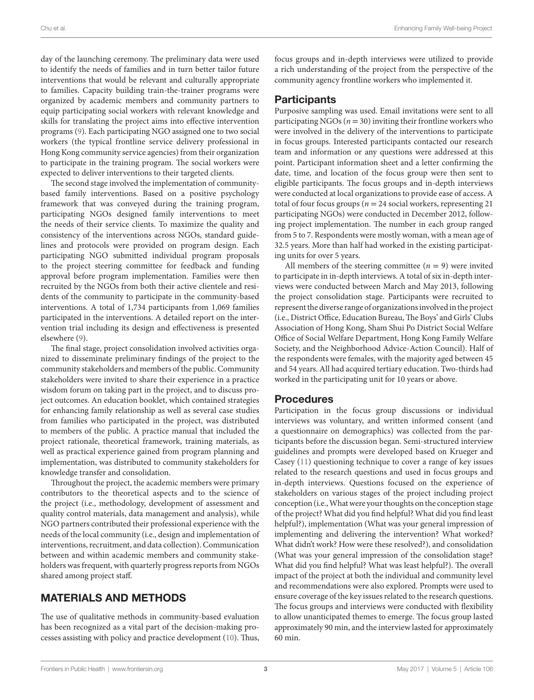day of the launching ceremony. The preliminary data were used to identify the needs of families and in turn better tailor future interventions that would be relevant and culturally appropriate to families. Capacity building train-the-trainer programs were organized by academic members and community partners to equip participating social workers with relevant knowledge and skills for translating the project aims into effective intervention programs ([9](#page-8-5)). Each participating NGO assigned one to two social workers (the typical frontline service delivery professional in Hong Kong community service agencies) from their organization to participate in the training program. The social workers were expected to deliver interventions to their targeted clients.

The second stage involved the implementation of communitybased family interventions. Based on a positive psychology framework that was conveyed during the training program, participating NGOs designed family interventions to meet the needs of their service clients. To maximize the quality and consistency of the interventions across NGOs, standard guidelines and protocols were provided on program design. Each participating NGO submitted individual program proposals to the project steering committee for feedback and funding approval before program implementation. Families were then recruited by the NGOs from both their active clientele and residents of the community to participate in the community-based interventions. A total of 1,734 participants from 1,069 families participated in the interventions. A detailed report on the intervention trial including its design and effectiveness is presented elsewhere ([9](#page-8-5)).

The final stage, project consolidation involved activities organized to disseminate preliminary findings of the project to the community stakeholders and members of the public. Community stakeholders were invited to share their experience in a practice wisdom forum on taking part in the project, and to discuss project outcomes. An education booklet, which contained strategies for enhancing family relationship as well as several case studies from families who participated in the project, was distributed to members of the public. A practice manual that included the project rationale, theoretical framework, training materials, as well as practical experience gained from program planning and implementation, was distributed to community stakeholders for knowledge transfer and consolidation.

Throughout the project, the academic members were primary contributors to the theoretical aspects and to the science of the project (i.e., methodology, development of assessment and quality control materials, data management and analysis), while NGO partners contributed their professional experience with the needs of the local community (i.e., design and implementation of interventions, recruitment, and data collection). Communication between and within academic members and community stakeholders was frequent, with quarterly progress reports from NGOs shared among project staff.

# MATERIALS AND METHODS

The use of qualitative methods in community-based evaluation has been recognized as a vital part of the decision-making processes assisting with policy and practice development ([10\)](#page-8-6). Thus, focus groups and in-depth interviews were utilized to provide a rich understanding of the project from the perspective of the community agency frontline workers who implemented it.

## **Participants**

Purposive sampling was used. Email invitations were sent to all participating NGOs ( $n = 30$ ) inviting their frontline workers who were involved in the delivery of the interventions to participate in focus groups. Interested participants contacted our research team and information or any questions were addressed at this point. Participant information sheet and a letter confirming the date, time, and location of the focus group were then sent to eligible participants. The focus groups and in-depth interviews were conducted at local organizations to provide ease of access. A total of four focus groups ( $n = 24$  social workers, representing 21 participating NGOs) were conducted in December 2012, following project implementation. The number in each group ranged from 5 to 7. Respondents were mostly woman, with a mean age of 32.5 years. More than half had worked in the existing participating units for over 5 years.

All members of the steering committee  $(n = 9)$  were invited to participate in in-depth interviews. A total of six in-depth interviews were conducted between March and May 2013, following the project consolidation stage. Participants were recruited to represent the diverse range of organizations involved in the project (i.e., District Office, Education Bureau, The Boys' and Girls' Clubs Association of Hong Kong, Sham Shui Po District Social Welfare Office of Social Welfare Department, Hong Kong Family Welfare Society, and the Neighborhood Advice-Action Council). Half of the respondents were females, with the majority aged between 45 and 54 years. All had acquired tertiary education. Two-thirds had worked in the participating unit for 10 years or above.

#### Procedures

Participation in the focus group discussions or individual interviews was voluntary, and written informed consent (and a questionnaire on demographics) was collected from the participants before the discussion began. Semi-structured interview guidelines and prompts were developed based on Krueger and Casey ([11\)](#page-8-7) questioning technique to cover a range of key issues related to the research questions and used in focus groups and in-depth interviews. Questions focused on the experience of stakeholders on various stages of the project including project conception (i.e., What were your thoughts on the conception stage of the project? What did you find helpful? What did you find least helpful?), implementation (What was your general impression of implementing and delivering the intervention? What worked? What didn't work? How were these resolved?), and consolidation (What was your general impression of the consolidation stage? What did you find helpful? What was least helpful?). The overall impact of the project at both the individual and community level and recommendations were also explored. Prompts were used to ensure coverage of the key issues related to the research questions. The focus groups and interviews were conducted with flexibility to allow unanticipated themes to emerge. The focus group lasted approximately 90 min, and the interview lasted for approximately 60 min.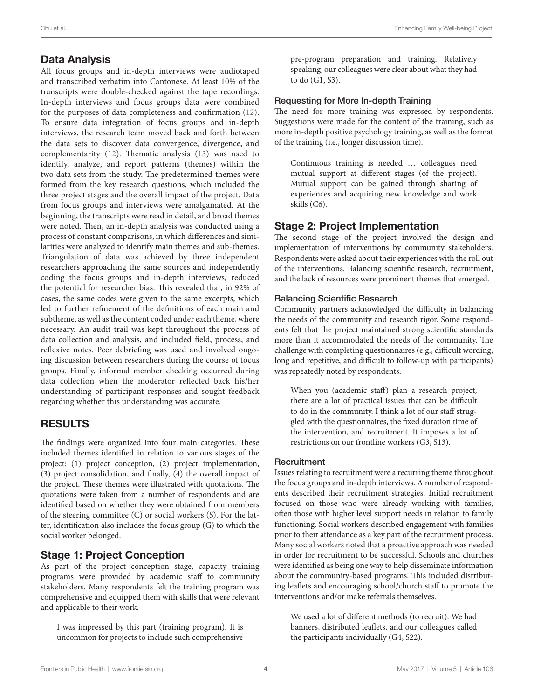# Data Analysis

All focus groups and in-depth interviews were audiotaped and transcribed verbatim into Cantonese. At least 10% of the transcripts were double-checked against the tape recordings. In-depth interviews and focus groups data were combined for the purposes of data completeness and confirmation [\(12\)](#page-8-8). To ensure data integration of focus groups and in-depth interviews, the research team moved back and forth between the data sets to discover data convergence, divergence, and complementarity [\(12\)](#page-8-8). Thematic analysis ([13](#page-8-9)) was used to identify, analyze, and report patterns (themes) within the two data sets from the study. The predetermined themes were formed from the key research questions, which included the three project stages and the overall impact of the project. Data from focus groups and interviews were amalgamated. At the beginning, the transcripts were read in detail, and broad themes were noted. Then, an in-depth analysis was conducted using a process of constant comparisons, in which differences and similarities were analyzed to identify main themes and sub-themes. Triangulation of data was achieved by three independent researchers approaching the same sources and independently coding the focus groups and in-depth interviews, reduced the potential for researcher bias. This revealed that, in 92% of cases, the same codes were given to the same excerpts, which led to further refinement of the definitions of each main and subtheme, as well as the content coded under each theme, where necessary. An audit trail was kept throughout the process of data collection and analysis, and included field, process, and reflexive notes. Peer debriefing was used and involved ongoing discussion between researchers during the course of focus groups. Finally, informal member checking occurred during data collection when the moderator reflected back his/her understanding of participant responses and sought feedback regarding whether this understanding was accurate.

# RESULTS

The findings were organized into four main categories. These included themes identified in relation to various stages of the project: (1) project conception, (2) project implementation, (3) project consolidation, and finally, (4) the overall impact of the project. These themes were illustrated with quotations. The quotations were taken from a number of respondents and are identified based on whether they were obtained from members of the steering committee (C) or social workers (S). For the latter, identification also includes the focus group (G) to which the social worker belonged.

## Stage 1: Project Conception

As part of the project conception stage, capacity training programs were provided by academic staff to community stakeholders. Many respondents felt the training program was comprehensive and equipped them with skills that were relevant and applicable to their work.

I was impressed by this part (training program). It is uncommon for projects to include such comprehensive

#### Requesting for More In-depth Training

The need for more training was expressed by respondents. Suggestions were made for the content of the training, such as more in-depth positive psychology training, as well as the format of the training (i.e., longer discussion time).

Continuous training is needed … colleagues need mutual support at different stages (of the project). Mutual support can be gained through sharing of experiences and acquiring new knowledge and work skills (C6).

# Stage 2: Project Implementation

The second stage of the project involved the design and implementation of interventions by community stakeholders. Respondents were asked about their experiences with the roll out of the interventions. Balancing scientific research, recruitment, and the lack of resources were prominent themes that emerged.

#### Balancing Scientific Research

Community partners acknowledged the difficulty in balancing the needs of the community and research rigor. Some respondents felt that the project maintained strong scientific standards more than it accommodated the needs of the community. The challenge with completing questionnaires (e.g., difficult wording, long and repetitive, and difficult to follow-up with participants) was repeatedly noted by respondents.

When you (academic staff) plan a research project, there are a lot of practical issues that can be difficult to do in the community. I think a lot of our staff struggled with the questionnaires, the fixed duration time of the intervention, and recruitment. It imposes a lot of restrictions on our frontline workers (G3, S13).

#### **Recruitment**

Issues relating to recruitment were a recurring theme throughout the focus groups and in-depth interviews. A number of respondents described their recruitment strategies. Initial recruitment focused on those who were already working with families, often those with higher level support needs in relation to family functioning. Social workers described engagement with families prior to their attendance as a key part of the recruitment process. Many social workers noted that a proactive approach was needed in order for recruitment to be successful. Schools and churches were identified as being one way to help disseminate information about the community-based programs. This included distributing leaflets and encouraging school/church staff to promote the interventions and/or make referrals themselves.

We used a lot of different methods (to recruit). We had banners, distributed leaflets, and our colleagues called the participants individually (G4, S22).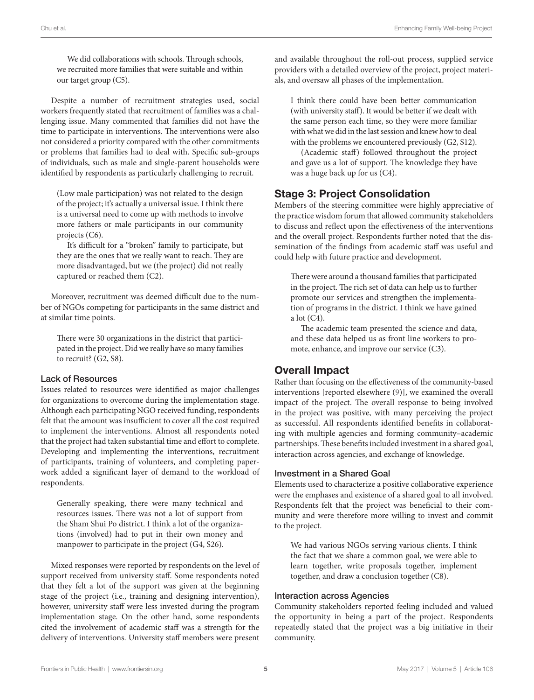We did collaborations with schools. Through schools, we recruited more families that were suitable and within our target group (C5).

Despite a number of recruitment strategies used, social workers frequently stated that recruitment of families was a challenging issue. Many commented that families did not have the time to participate in interventions. The interventions were also not considered a priority compared with the other commitments or problems that families had to deal with. Specific sub-groups of individuals, such as male and single-parent households were identified by respondents as particularly challenging to recruit.

(Low male participation) was not related to the design of the project; it's actually a universal issue. I think there is a universal need to come up with methods to involve more fathers or male participants in our community projects (C6).

It's difficult for a "broken" family to participate, but they are the ones that we really want to reach. They are more disadvantaged, but we (the project) did not really captured or reached them (C2).

Moreover, recruitment was deemed difficult due to the number of NGOs competing for participants in the same district and at similar time points.

There were 30 organizations in the district that participated in the project. Did we really have so many families to recruit? (G2, S8).

#### Lack of Resources

Issues related to resources were identified as major challenges for organizations to overcome during the implementation stage. Although each participating NGO received funding, respondents felt that the amount was insufficient to cover all the cost required to implement the interventions. Almost all respondents noted that the project had taken substantial time and effort to complete. Developing and implementing the interventions, recruitment of participants, training of volunteers, and completing paperwork added a significant layer of demand to the workload of respondents.

Generally speaking, there were many technical and resources issues. There was not a lot of support from the Sham Shui Po district. I think a lot of the organizations (involved) had to put in their own money and manpower to participate in the project (G4, S26).

Mixed responses were reported by respondents on the level of support received from university staff. Some respondents noted that they felt a lot of the support was given at the beginning stage of the project (i.e., training and designing intervention), however, university staff were less invested during the program implementation stage. On the other hand, some respondents cited the involvement of academic staff was a strength for the delivery of interventions. University staff members were present

and available throughout the roll-out process, supplied service providers with a detailed overview of the project, project materials, and oversaw all phases of the implementation.

I think there could have been better communication (with university staff). It would be better if we dealt with the same person each time, so they were more familiar with what we did in the last session and knew how to deal with the problems we encountered previously (G2, S12).

(Academic staff) followed throughout the project and gave us a lot of support. The knowledge they have was a huge back up for us (C4).

## Stage 3: Project Consolidation

Members of the steering committee were highly appreciative of the practice wisdom forum that allowed community stakeholders to discuss and reflect upon the effectiveness of the interventions and the overall project. Respondents further noted that the dissemination of the findings from academic staff was useful and could help with future practice and development.

There were around a thousand families that participated in the project. The rich set of data can help us to further promote our services and strengthen the implementation of programs in the district. I think we have gained a lot (C4).

The academic team presented the science and data, and these data helped us as front line workers to promote, enhance, and improve our service (C3).

# Overall Impact

Rather than focusing on the effectiveness of the community-based interventions [reported elsewhere ([9](#page-8-5))], we examined the overall impact of the project. The overall response to being involved in the project was positive, with many perceiving the project as successful. All respondents identified benefits in collaborating with multiple agencies and forming community–academic partnerships. These benefits included investment in a shared goal, interaction across agencies, and exchange of knowledge.

#### Investment in a Shared Goal

Elements used to characterize a positive collaborative experience were the emphases and existence of a shared goal to all involved. Respondents felt that the project was beneficial to their community and were therefore more willing to invest and commit to the project.

We had various NGOs serving various clients. I think the fact that we share a common goal, we were able to learn together, write proposals together, implement together, and draw a conclusion together (C8).

#### Interaction across Agencies

Community stakeholders reported feeling included and valued the opportunity in being a part of the project. Respondents repeatedly stated that the project was a big initiative in their community.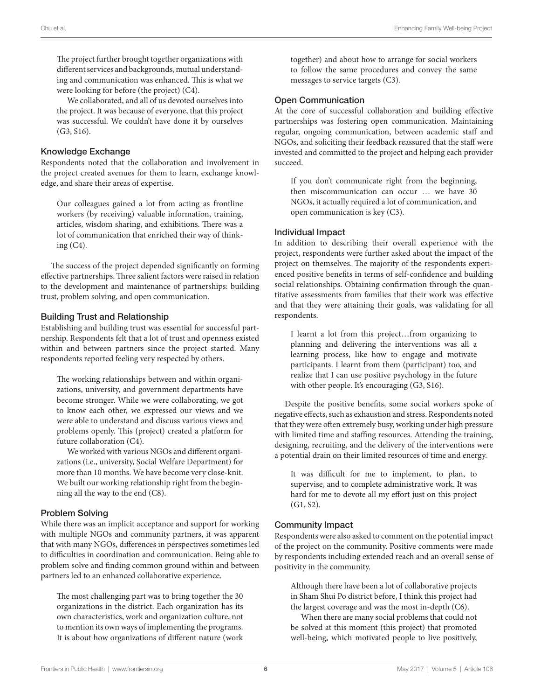The project further brought together organizations with different services and backgrounds, mutual understanding and communication was enhanced. This is what we were looking for before (the project) (C4).

We collaborated, and all of us devoted ourselves into the project. It was because of everyone, that this project was successful. We couldn't have done it by ourselves (G3, S16).

#### Knowledge Exchange

Respondents noted that the collaboration and involvement in the project created avenues for them to learn, exchange knowledge, and share their areas of expertise.

Our colleagues gained a lot from acting as frontline workers (by receiving) valuable information, training, articles, wisdom sharing, and exhibitions. There was a lot of communication that enriched their way of thinking (C4).

The success of the project depended significantly on forming effective partnerships. Three salient factors were raised in relation to the development and maintenance of partnerships: building trust, problem solving, and open communication.

#### Building Trust and Relationship

Establishing and building trust was essential for successful partnership. Respondents felt that a lot of trust and openness existed within and between partners since the project started. Many respondents reported feeling very respected by others.

The working relationships between and within organizations, university, and government departments have become stronger. While we were collaborating, we got to know each other, we expressed our views and we were able to understand and discuss various views and problems openly. This (project) created a platform for future collaboration (C4).

We worked with various NGOs and different organizations (i.e., university, Social Welfare Department) for more than 10 months. We have become very close-knit. We built our working relationship right from the beginning all the way to the end (C8).

#### Problem Solving

While there was an implicit acceptance and support for working with multiple NGOs and community partners, it was apparent that with many NGOs, differences in perspectives sometimes led to difficulties in coordination and communication. Being able to problem solve and finding common ground within and between partners led to an enhanced collaborative experience.

The most challenging part was to bring together the 30 organizations in the district. Each organization has its own characteristics, work and organization culture, not to mention its own ways of implementing the programs. It is about how organizations of different nature (work

together) and about how to arrange for social workers to follow the same procedures and convey the same messages to service targets (C3).

#### Open Communication

At the core of successful collaboration and building effective partnerships was fostering open communication. Maintaining regular, ongoing communication, between academic staff and NGOs, and soliciting their feedback reassured that the staff were invested and committed to the project and helping each provider succeed.

If you don't communicate right from the beginning, then miscommunication can occur … we have 30 NGOs, it actually required a lot of communication, and open communication is key (C3).

#### Individual Impact

In addition to describing their overall experience with the project, respondents were further asked about the impact of the project on themselves. The majority of the respondents experienced positive benefits in terms of self-confidence and building social relationships. Obtaining confirmation through the quantitative assessments from families that their work was effective and that they were attaining their goals, was validating for all respondents.

I learnt a lot from this project…from organizing to planning and delivering the interventions was all a learning process, like how to engage and motivate participants. I learnt from them (participant) too, and realize that I can use positive psychology in the future with other people. It's encouraging (G3, S16).

Despite the positive benefits, some social workers spoke of negative effects, such as exhaustion and stress. Respondents noted that they were often extremely busy, working under high pressure with limited time and staffing resources. Attending the training, designing, recruiting, and the delivery of the interventions were a potential drain on their limited resources of time and energy.

It was difficult for me to implement, to plan, to supervise, and to complete administrative work. It was hard for me to devote all my effort just on this project (G1, S2).

## Community Impact

Respondents were also asked to comment on the potential impact of the project on the community. Positive comments were made by respondents including extended reach and an overall sense of positivity in the community.

Although there have been a lot of collaborative projects in Sham Shui Po district before, I think this project had the largest coverage and was the most in-depth (C6).

When there are many social problems that could not be solved at this moment (this project) that promoted well-being, which motivated people to live positively,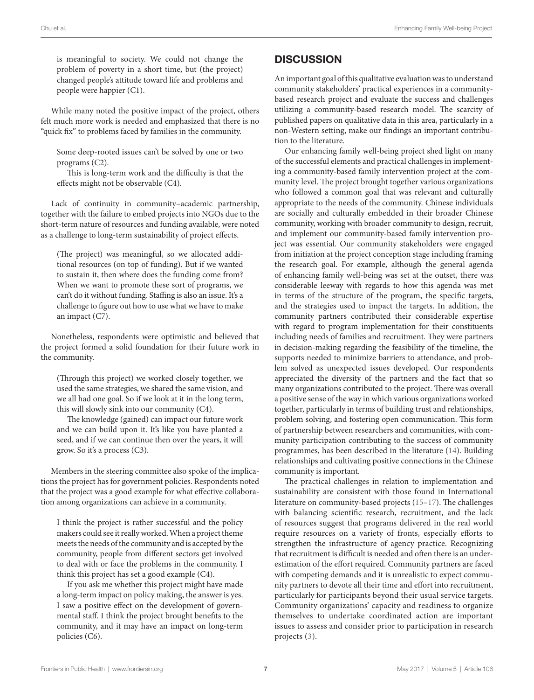is meaningful to society. We could not change the problem of poverty in a short time, but (the project) changed people's attitude toward life and problems and people were happier (C1).

While many noted the positive impact of the project, others felt much more work is needed and emphasized that there is no "quick fix" to problems faced by families in the community.

Some deep-rooted issues can't be solved by one or two programs (C2).

This is long-term work and the difficulty is that the effects might not be observable (C4).

Lack of continuity in community–academic partnership, together with the failure to embed projects into NGOs due to the short-term nature of resources and funding available, were noted as a challenge to long-term sustainability of project effects.

(The project) was meaningful, so we allocated additional resources (on top of funding). But if we wanted to sustain it, then where does the funding come from? When we want to promote these sort of programs, we can't do it without funding. Staffing is also an issue. It's a challenge to figure out how to use what we have to make an impact (C7).

Nonetheless, respondents were optimistic and believed that the project formed a solid foundation for their future work in the community.

(Through this project) we worked closely together, we used the same strategies, we shared the same vision, and we all had one goal. So if we look at it in the long term, this will slowly sink into our community (C4).

The knowledge (gained) can impact our future work and we can build upon it. It's like you have planted a seed, and if we can continue then over the years, it will grow. So it's a process (C3).

Members in the steering committee also spoke of the implications the project has for government policies. Respondents noted that the project was a good example for what effective collaboration among organizations can achieve in a community.

I think the project is rather successful and the policy makers could see it really worked. When a project theme meets the needs of the community and is accepted by the community, people from different sectors get involved to deal with or face the problems in the community. I think this project has set a good example (C4).

If you ask me whether this project might have made a long-term impact on policy making, the answer is yes. I saw a positive effect on the development of governmental staff. I think the project brought benefits to the community, and it may have an impact on long-term policies (C6).

# **DISCUSSION**

An important goal of this qualitative evaluation was to understand community stakeholders' practical experiences in a communitybased research project and evaluate the success and challenges utilizing a community-based research model. The scarcity of published papers on qualitative data in this area, particularly in a non-Western setting, make our findings an important contribution to the literature.

Our enhancing family well-being project shed light on many of the successful elements and practical challenges in implementing a community-based family intervention project at the community level. The project brought together various organizations who followed a common goal that was relevant and culturally appropriate to the needs of the community. Chinese individuals are socially and culturally embedded in their broader Chinese community, working with broader community to design, recruit, and implement our community-based family intervention project was essential. Our community stakeholders were engaged from initiation at the project conception stage including framing the research goal. For example, although the general agenda of enhancing family well-being was set at the outset, there was considerable leeway with regards to how this agenda was met in terms of the structure of the program, the specific targets, and the strategies used to impact the targets. In addition, the community partners contributed their considerable expertise with regard to program implementation for their constituents including needs of families and recruitment. They were partners in decision-making regarding the feasibility of the timeline, the supports needed to minimize barriers to attendance, and problem solved as unexpected issues developed. Our respondents appreciated the diversity of the partners and the fact that so many organizations contributed to the project. There was overall a positive sense of the way in which various organizations worked together, particularly in terms of building trust and relationships, problem solving, and fostering open communication. This form of partnership between researchers and communities, with community participation contributing to the success of community programmes, has been described in the literature [\(14](#page-8-10)). Building relationships and cultivating positive connections in the Chinese community is important.

The practical challenges in relation to implementation and sustainability are consistent with those found in International literature on community-based projects ([15](#page-8-11)[–17](#page-8-12)). The challenges with balancing scientific research, recruitment, and the lack of resources suggest that programs delivered in the real world require resources on a variety of fronts, especially efforts to strengthen the infrastructure of agency practice. Recognizing that recruitment is difficult is needed and often there is an underestimation of the effort required. Community partners are faced with competing demands and it is unrealistic to expect community partners to devote all their time and effort into recruitment, particularly for participants beyond their usual service targets. Community organizations' capacity and readiness to organize themselves to undertake coordinated action are important issues to assess and consider prior to participation in research projects [\(3\)](#page-7-2).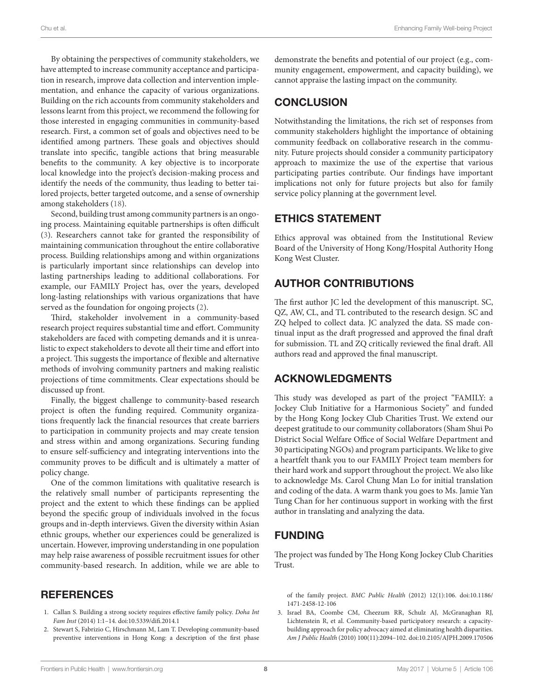By obtaining the perspectives of community stakeholders, we have attempted to increase community acceptance and participation in research, improve data collection and intervention implementation, and enhance the capacity of various organizations. Building on the rich accounts from community stakeholders and lessons learnt from this project, we recommend the following for those interested in engaging communities in community-based research. First, a common set of goals and objectives need to be identified among partners. These goals and objectives should translate into specific, tangible actions that bring measurable benefits to the community. A key objective is to incorporate local knowledge into the project's decision-making process and identify the needs of the community, thus leading to better tailored projects, better targeted outcome, and a sense of ownership among stakeholders ([18\)](#page-8-13).

Second, building trust among community partners is an ongoing process. Maintaining equitable partnerships is often difficult ([3](#page-7-2)). Researchers cannot take for granted the responsibility of maintaining communication throughout the entire collaborative process. Building relationships among and within organizations is particularly important since relationships can develop into lasting partnerships leading to additional collaborations. For example, our FAMILY Project has, over the years, developed long-lasting relationships with various organizations that have served as the foundation for ongoing projects [\(2\)](#page-7-1).

Third, stakeholder involvement in a community-based research project requires substantial time and effort. Community stakeholders are faced with competing demands and it is unrealistic to expect stakeholders to devote all their time and effort into a project. This suggests the importance of flexible and alternative methods of involving community partners and making realistic projections of time commitments. Clear expectations should be discussed up front.

Finally, the biggest challenge to community-based research project is often the funding required. Community organizations frequently lack the financial resources that create barriers to participation in community projects and may create tension and stress within and among organizations. Securing funding to ensure self-sufficiency and integrating interventions into the community proves to be difficult and is ultimately a matter of policy change.

One of the common limitations with qualitative research is the relatively small number of participants representing the project and the extent to which these findings can be applied beyond the specific group of individuals involved in the focus groups and in-depth interviews. Given the diversity within Asian ethnic groups, whether our experiences could be generalized is uncertain. However, improving understanding in one population may help raise awareness of possible recruitment issues for other community-based research. In addition, while we are able to

# **REFERENCES**

- <span id="page-7-0"></span>1. Callan S. Building a strong society requires effective family policy. *Doha Int Fam Inst* (2014) 1:1–14. doi[:10.5339/difi.2014.1](https://doi.org/10.5339/difi.2014.1)
- <span id="page-7-1"></span>2. Stewart S, Fabrizio C, Hirschmann M, Lam T. Developing community-based preventive interventions in Hong Kong: a description of the first phase

demonstrate the benefits and potential of our project (e.g., community engagement, empowerment, and capacity building), we cannot appraise the lasting impact on the community.

# **CONCLUSION**

Notwithstanding the limitations, the rich set of responses from community stakeholders highlight the importance of obtaining community feedback on collaborative research in the community. Future projects should consider a community participatory approach to maximize the use of the expertise that various participating parties contribute. Our findings have important implications not only for future projects but also for family service policy planning at the government level.

# ETHICS STATEMENT

Ethics approval was obtained from the Institutional Review Board of the University of Hong Kong/Hospital Authority Hong Kong West Cluster.

# AUTHOR CONTRIBUTIONS

The first author JC led the development of this manuscript. SC, QZ, AW, CL, and TL contributed to the research design. SC and ZQ helped to collect data. JC analyzed the data. SS made continual input as the draft progressed and approved the final draft for submission. TL and ZQ critically reviewed the final draft. All authors read and approved the final manuscript.

# ACKNOWLEDGMENTS

This study was developed as part of the project "FAMILY: a Jockey Club Initiative for a Harmonious Society" and funded by the Hong Kong Jockey Club Charities Trust. We extend our deepest gratitude to our community collaborators (Sham Shui Po District Social Welfare Office of Social Welfare Department and 30 participating NGOs) and program participants. We like to give a heartfelt thank you to our FAMILY Project team members for their hard work and support throughout the project. We also like to acknowledge Ms. Carol Chung Man Lo for initial translation and coding of the data. A warm thank you goes to Ms. Jamie Yan Tung Chan for her continuous support in working with the first author in translating and analyzing the data.

# FUNDING

The project was funded by The Hong Kong Jockey Club Charities Trust.

<span id="page-7-2"></span>of the family project. *BMC Public Health* (2012) 12(1):106. doi[:10.1186/](https://doi.org/10.1186/1471-2458-12-106) [1471-2458-12-106](https://doi.org/10.1186/1471-2458-12-106) 

3. Israel BA, Coombe CM, Cheezum RR, Schulz AJ, McGranaghan RJ, Lichtenstein R, et al. Community-based participatory research: a capacitybuilding approach for policy advocacy aimed at eliminating health disparities. *Am J Public Health* (2010) 100(11):2094–102. doi[:10.2105/AJPH.2009.170506](https://doi.org/10.2105/AJPH.2009.170506)